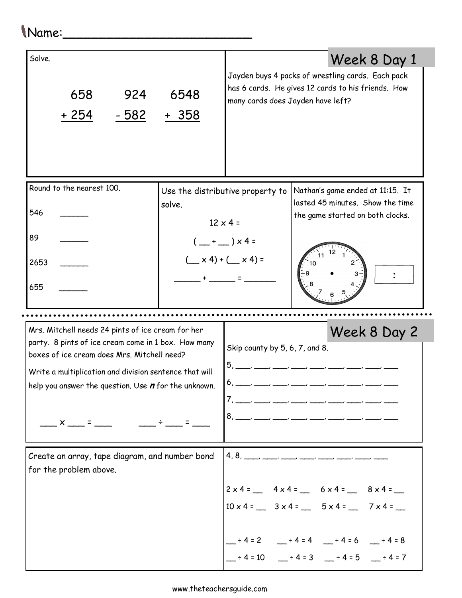## Name:\_\_\_\_\_\_\_\_\_\_\_\_\_\_\_\_\_\_\_\_\_\_\_\_\_

| Solve.<br>924<br>658<br>$-582$<br>$+254$                                                                                                                                                                                                                                                    | 6548<br><u>+ 358</u> | many cards does Jayden have left?                                                                                                                       | Week 8 Day 1<br>Jayden buys 4 packs of wrestling cards. Each pack<br>has 6 cards. He gives 12 cards to his friends. How                                                                                                |  |  |  |  |
|---------------------------------------------------------------------------------------------------------------------------------------------------------------------------------------------------------------------------------------------------------------------------------------------|----------------------|---------------------------------------------------------------------------------------------------------------------------------------------------------|------------------------------------------------------------------------------------------------------------------------------------------------------------------------------------------------------------------------|--|--|--|--|
| Round to the nearest 100.<br>546<br>89<br>2653<br>655                                                                                                                                                                                                                                       | solve.               | Use the distributive property to<br>$12 \times 4 =$<br>$(\_\$ + \_\ ) \times 4 =<br>$(\underline{\hspace{1cm}} x 4) + (\underline{\hspace{1cm}} x 4) =$ | Nathan's game ended at 11:15. It<br>lasted 45 minutes. Show the time<br>the game started on both clocks.                                                                                                               |  |  |  |  |
| Mrs. Mitchell needs 24 pints of ice cream for her<br>party. 8 pints of ice cream come in 1 box. How many<br>boxes of ice cream does Mrs. Mitchell need?<br>Write a multiplication and division sentence that will<br>help you answer the question. Use $n$ for the unknown.<br>$\times$ $=$ |                      | Week 8 Day 2<br>Skip county by 5, 6, 7, and 8.<br>5.<br>$\overline{\phantom{a}}$<br>6                                                                   |                                                                                                                                                                                                                        |  |  |  |  |
| Create an array, tape diagram, and number bond<br>for the problem above.                                                                                                                                                                                                                    |                      | $\left 4,8,\_\_\_\_\_\_\_\_\_\_\_\_\_\_\_\_\_\_\_\_\_\_\_$                                                                                              | $2 \times 4 =$ $4 \times 4 =$ $6 \times 4 =$ $8 \times 4 =$<br>$10 \times 4 =$ $3 \times 4 =$ $5 \times 4 =$ $7 \times 4 =$<br>$-$ ÷4=2 $-$ ÷4=4 $-$ ÷4=6 $-$ ÷4=8<br>$-$ ÷ 4 = 10 $-$ ÷ 4 = 3 $-$ ÷ 4 = 5 $-$ ÷ 4 = 7 |  |  |  |  |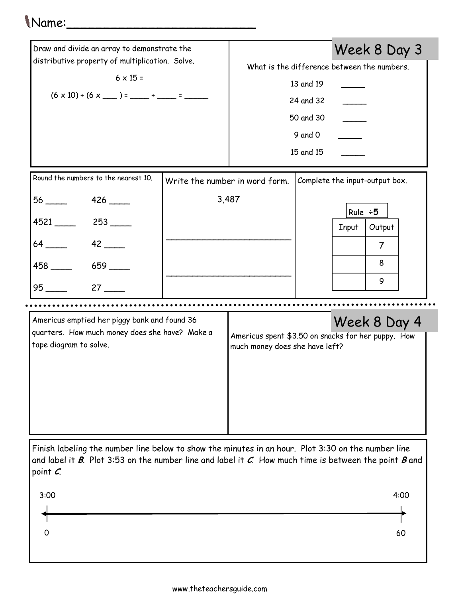## Name:\_\_\_\_\_\_\_\_\_\_\_\_\_\_\_\_\_\_\_\_\_\_\_\_\_

| Draw and divide an array to demonstrate the<br>distributive property of multiplication. Solve.<br>$6 \times 15 =$<br>$(6 \times 10) + (6 \times \_ ) = \_ + \_ = \_$ |                                |                                                                                      |         |                                | Week 8 Day 3   |  |  |
|----------------------------------------------------------------------------------------------------------------------------------------------------------------------|--------------------------------|--------------------------------------------------------------------------------------|---------|--------------------------------|----------------|--|--|
|                                                                                                                                                                      |                                | What is the difference between the numbers.                                          |         |                                |                |  |  |
|                                                                                                                                                                      |                                | 13 and 19<br>24 and 32                                                               |         |                                |                |  |  |
|                                                                                                                                                                      |                                |                                                                                      |         |                                |                |  |  |
|                                                                                                                                                                      |                                | 50 and 30                                                                            |         |                                |                |  |  |
|                                                                                                                                                                      |                                |                                                                                      | 9 and 0 |                                |                |  |  |
|                                                                                                                                                                      |                                | 15 and 15                                                                            |         |                                |                |  |  |
|                                                                                                                                                                      |                                |                                                                                      |         |                                |                |  |  |
| Round the numbers to the nearest 10.                                                                                                                                 | Write the number in word form. |                                                                                      |         | Complete the input-output box. |                |  |  |
| $56 \underline{\hspace{1cm}} 426 \underline{\hspace{1cm}}$                                                                                                           | 3,487                          |                                                                                      |         |                                |                |  |  |
| 4521 253                                                                                                                                                             |                                |                                                                                      |         | Rule $\div$ 5                  |                |  |  |
|                                                                                                                                                                      |                                |                                                                                      |         | <b>Input</b>                   | Output         |  |  |
| $64$ 42                                                                                                                                                              |                                |                                                                                      |         |                                | $\overline{7}$ |  |  |
| 458 ______ 659 _____                                                                                                                                                 |                                |                                                                                      |         |                                | 8              |  |  |
| $27$ $\_\_$                                                                                                                                                          |                                |                                                                                      |         |                                | 9              |  |  |
|                                                                                                                                                                      |                                |                                                                                      |         |                                |                |  |  |
| Americus emptied her piggy bank and found 36                                                                                                                         |                                |                                                                                      |         | Week 8 Day 4                   |                |  |  |
| quarters. How much money does she have? Make a<br>tape diagram to solve.                                                                                             |                                | Americus spent \$3.50 on snacks for her puppy. How<br>much money does she have left? |         |                                |                |  |  |
|                                                                                                                                                                      |                                |                                                                                      |         |                                |                |  |  |
|                                                                                                                                                                      |                                |                                                                                      |         |                                |                |  |  |
|                                                                                                                                                                      |                                |                                                                                      |         |                                |                |  |  |
|                                                                                                                                                                      |                                |                                                                                      |         |                                |                |  |  |

Finish labeling the number line below to show the minutes in an hour. Plot 3:30 on the number line and label it  $B$ . Plot 3:53 on the number line and label it  $C$ . How much time is between the point  $B$  and point C.